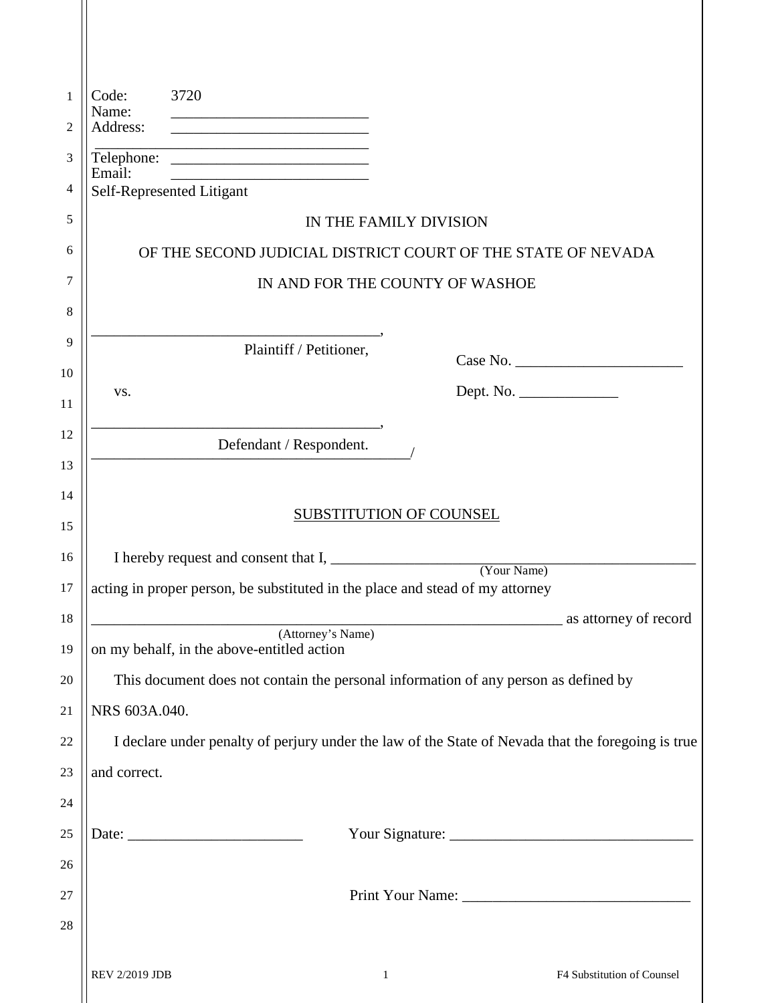| 1        | 3720<br>Code:                                                                                                                                                |
|----------|--------------------------------------------------------------------------------------------------------------------------------------------------------------|
| 2        | Name:<br>Address:                                                                                                                                            |
| 3        | the control of the control of the control of the control of the control of the control of                                                                    |
| 4        | Email:<br><u> 1999 - Johann Harry Harry Harry Harry Harry Harry Harry Harry Harry Harry Harry Harry Harry Harry Harry Harry</u><br>Self-Represented Litigant |
| 5        | IN THE FAMILY DIVISION                                                                                                                                       |
| 6        | OF THE SECOND JUDICIAL DISTRICT COURT OF THE STATE OF NEVADA                                                                                                 |
| 7        | IN AND FOR THE COUNTY OF WASHOE                                                                                                                              |
| 8        |                                                                                                                                                              |
| 9        | Plaintiff / Petitioner,                                                                                                                                      |
| 10       | Dept. No.<br>VS.                                                                                                                                             |
| 11       |                                                                                                                                                              |
| 12       | Defendant / Respondent.                                                                                                                                      |
| 13       |                                                                                                                                                              |
| 14       | <b>SUBSTITUTION OF COUNSEL</b>                                                                                                                               |
| 15<br>16 |                                                                                                                                                              |
| 17       | acting in proper person, be substituted in the place and stead of my attorney                                                                                |
| 18       | as attorney of record                                                                                                                                        |
| 19       | (Attorney's Name)<br>on my behalf, in the above-entitled action                                                                                              |
| 20       | This document does not contain the personal information of any person as defined by                                                                          |
| 21       | NRS 603A.040.                                                                                                                                                |
| 22       | I declare under penalty of perjury under the law of the State of Nevada that the foregoing is true                                                           |
| 23       | and correct.                                                                                                                                                 |
| 24       |                                                                                                                                                              |
| 25       |                                                                                                                                                              |
| 26       |                                                                                                                                                              |
| 27       |                                                                                                                                                              |
| 28       |                                                                                                                                                              |
|          | REV 2/2019 JDB<br>F4 Substitution of Counsel<br>$\mathbf{1}$                                                                                                 |

II